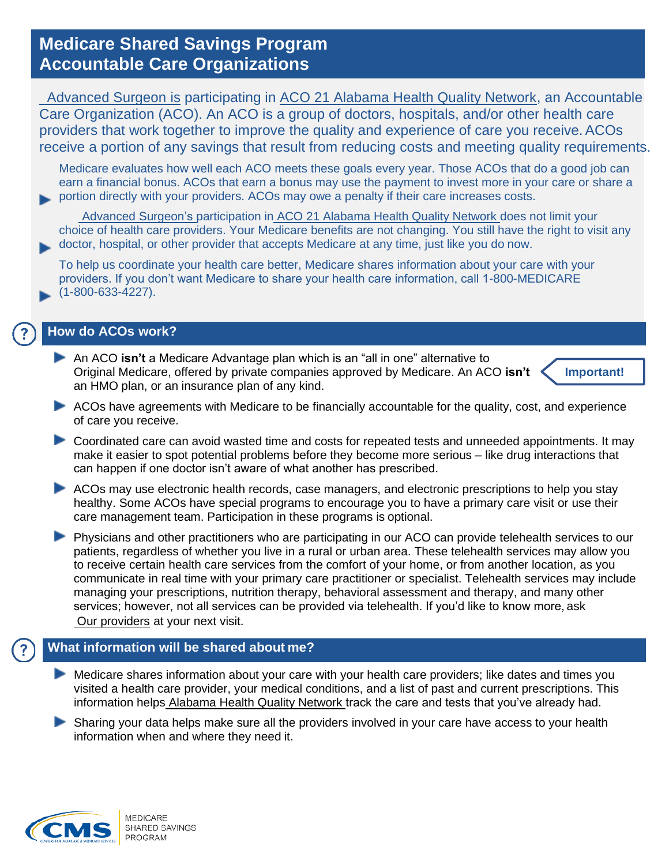# **Medicare Shared Savings Program Accountable Care Organizations**

Advanced Surgeon is participating in ACO 21 Alabama Health Quality Network, an Accountable Care Organization (ACO). An ACO is a group of doctors, hospitals, and/or other health care providers that work together to improve the quality and experience of care you receive.ACOs receive a portion of any savings that result from reducing costs and meeting quality requirements.

Medicare evaluates how well each ACO meets these goals every year. Those ACOs that do a good job can earn a financial bonus. ACOs that earn a bonus may use the payment to invest more in your care or share a portion directly with your providers. ACOs may owe a penalty if their care increases costs.

Advanced Surgeon's participation in ACO 21 Alabama Health Quality Network does not limit your choice of health care providers. Your Medicare benefits are not changing. You still have the right to visit any doctor, hospital, or other provider that accepts Medicare at any time, just like you do now.

To help us coordinate your health care better, Medicare shares information about your care with your providers. If you don't want Medicare to share your health care information, call 1-800-MEDICARE (1-800-633-4227).

#### **How do ACOs work?**

- An ACO **isn't** a Medicare Advantage plan which is an "all in one" alternative to Original Medicare, offered by private companies approved by Medicare. An ACO **isn't**  an HMO plan, or an insurance plan of any kind. **Important!**
- ACOs have agreements with Medicare to be financially accountable for the quality, cost, and experience of care you receive.
- Coordinated care can avoid wasted time and costs for repeated tests and unneeded appointments. It may make it easier to spot potential problems before they become more serious – like drug interactions that can happen if one doctor isn't aware of what another has prescribed.
- ACOs may use electronic health records, case managers, and electronic prescriptions to help you stay healthy. Some ACOs have special programs to encourage you to have a primary care visit or use their care management team. Participation in these programs is optional.
- **Physicians and other practitioners who are participating in our ACO can provide telehealth services to our** patients, regardless of whether you live in a rural or urban area. These telehealth services may allow you to receive certain health care services from the comfort of your home, or from another location, as you communicate in real time with your primary care practitioner or specialist. Telehealth services may include managing your prescriptions, nutrition therapy, behavioral assessment and therapy, and many other services; however, not all services can be provided via telehealth. If you'd like to know more, ask Our providers at your next visit.

## **What information will be shared about me?**

Medicare shares information about your care with your health care providers; like dates and times you visited a health care provider, your medical conditions, and a list of past and current prescriptions. This information helps Alabama Health Quality Network track the care and tests that you've already had.

 Sharing your data helps make sure all the providers involved in your care have access to your health information when and where they need it.